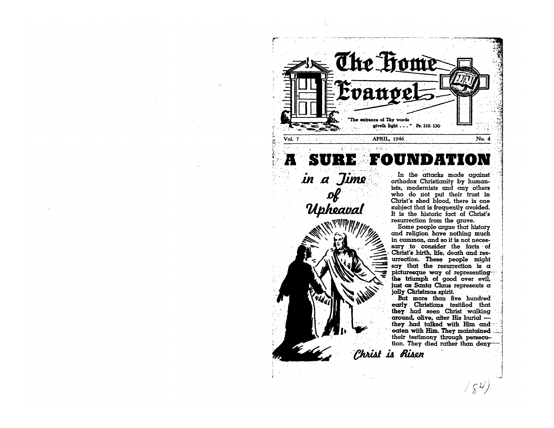

in a Jime of<br>Upheaval

In the attacks made against orthodox Christianity by humanists, modernists and any others who do not put their trust in Christ's shed blood, there is one subject that is frequently avoided. It is the historic fact of Christ's resurrection from the grave.

Some people arque that history and religion have nothing much in common, and so it is not necessary to consider the facts of Christ's birth, life, death and resurrection. These people might say that the resurrection is  $\alpha$ picturesque way of representing the triumph of good over evil, just as Santa Claus represents a jolly Christmas spirit.

But more than five hundred early Christians testified that they had seen Christ walking around, alive, after His burial they had talked with Him and eaten with Him. They maintained their testimony through persecution. They died rather than deny-

 $/ \, \xi^{\cal H} \! \! / \,$ 

Christ is Risen